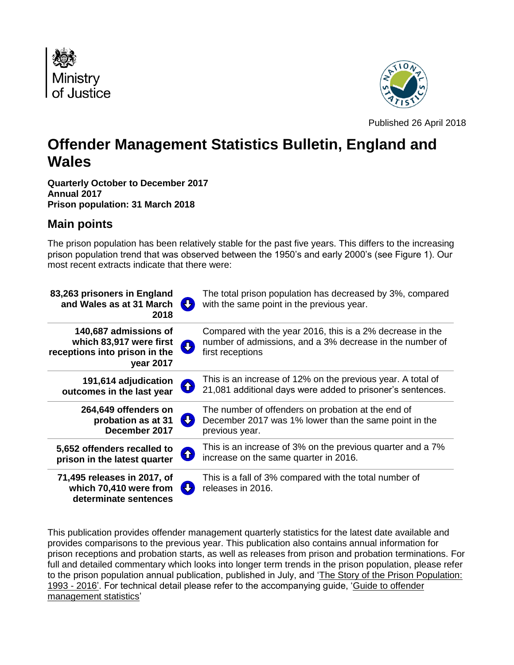



Published 26 April 2018

# **Offender Management Statistics Bulletin, England and Wales**

**Quarterly October to December 2017 Annual 2017 Prison population: 31 March 2018**

## **Main points**

The prison population has been relatively stable for the past five years. This differs to the increasing prison population trend that was observed between the 1950's and early 2000's (see Figure 1). Our most recent extracts indicate that there were:

| 83,263 prisoners in England<br>and Wales as at 31 March<br>IJ<br>2018                                                   | The total prison population has decreased by 3%, compared<br>with the same point in the previous year.                                    |
|-------------------------------------------------------------------------------------------------------------------------|-------------------------------------------------------------------------------------------------------------------------------------------|
| 140,687 admissions of<br>which 83,917 were first<br>$\overline{u}$<br>receptions into prison in the<br><b>year 2017</b> | Compared with the year 2016, this is a 2% decrease in the<br>number of admissions, and a 3% decrease in the number of<br>first receptions |
| 191,614 adjudication<br><b>分</b><br>outcomes in the last year                                                           | This is an increase of 12% on the previous year. A total of<br>21,081 additional days were added to prisoner's sentences.                 |
| 264,649 offenders on<br>52<br>probation as at 31<br>December 2017                                                       | The number of offenders on probation at the end of<br>December 2017 was 1% lower than the same point in the<br>previous year.             |
| 5,652 offenders recalled to<br>4<br>prison in the latest quarter                                                        | This is an increase of 3% on the previous quarter and a 7%<br>increase on the same quarter in 2016.                                       |
| 71,495 releases in 2017, of<br>which 70,410 were from<br>determinate sentences                                          | This is a fall of 3% compared with the total number of<br>releases in 2016.                                                               |

This publication provides offender management quarterly statistics for the latest date available and provides comparisons to the previous year. This publication also contains annual information for prison receptions and probation starts, as well as releases from prison and probation terminations. For full and detailed commentary which looks into longer term trends in the prison population, please refer to the prison population annual publication, published in July, and ['The Story of the Prison Population:](https://www.gov.uk/government/uploads/system/uploads/attachment_data/file/541667/prison-population-story-1993-2016.pdf)  [1993 -](https://www.gov.uk/government/uploads/system/uploads/attachment_data/file/541667/prison-population-story-1993-2016.pdf) 2016'. For technical detail please refer to the accompanying guide, ['Guide to offender](https://www.gov.uk/government/uploads/system/uploads/attachment_data/file/562956/Guide_to_Offender_Management_Statistics.pdf)  [management statistics'](https://www.gov.uk/government/uploads/system/uploads/attachment_data/file/562956/Guide_to_Offender_Management_Statistics.pdf)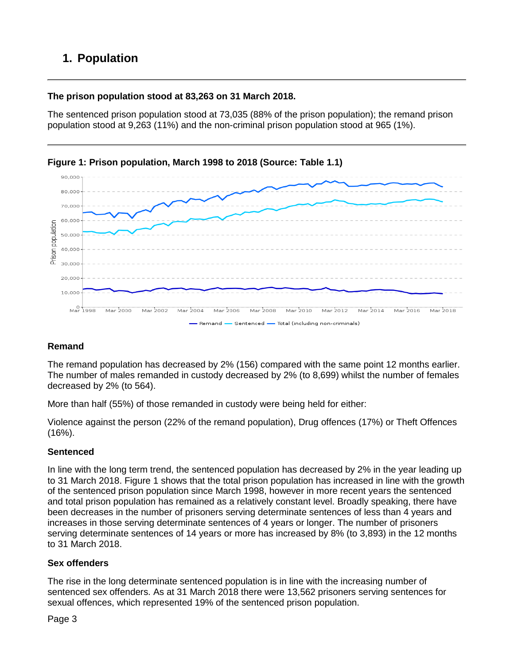# **1. Population**

### **The prison population stood at 83,263 on 31 March 2018.**

The sentenced prison population stood at 73,035 (88% of the prison population); the remand prison population stood at 9,263 (11%) and the non-criminal prison population stood at 965 (1%).



**Figure 1: Prison population, March 1998 to 2018 (Source: Table 1.1)**

### **Remand**

The remand population has decreased by 2% (156) compared with the same point 12 months earlier. The number of males remanded in custody decreased by 2% (to 8,699) whilst the number of females decreased by 2% (to 564).

More than half (55%) of those remanded in custody were being held for either:

Violence against the person (22% of the remand population), Drug offences (17%) or Theft Offences  $(16%)$ .

### **Sentenced**

In line with the long term trend, the sentenced population has decreased by 2% in the year leading up to 31 March 2018. Figure 1 shows that the total prison population has increased in line with the growth of the sentenced prison population since March 1998, however in more recent years the sentenced and total prison population has remained as a relatively constant level. Broadly speaking, there have been decreases in the number of prisoners serving determinate sentences of less than 4 years and increases in those serving determinate sentences of 4 years or longer. The number of prisoners serving determinate sentences of 14 years or more has increased by 8% (to 3,893) in the 12 months to 31 March 2018.

### **Sex offenders**

The rise in the long determinate sentenced population is in line with the increasing number of sentenced sex offenders. As at 31 March 2018 there were 13,562 prisoners serving sentences for sexual offences, which represented 19% of the sentenced prison population.

Page 3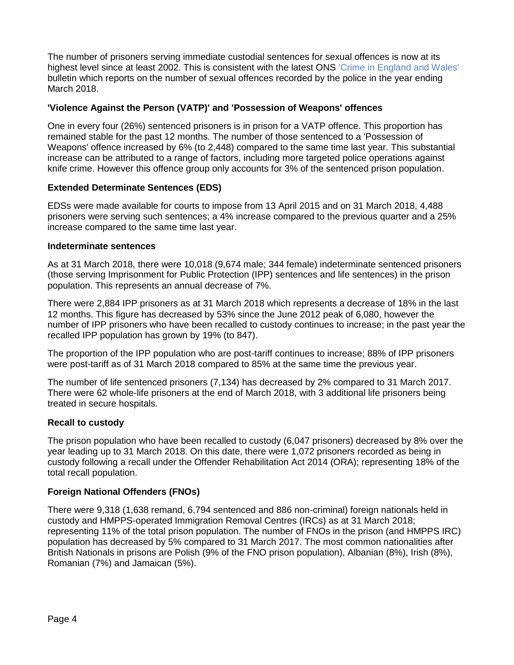The number of prisoners serving immediate custodial sentences for sexual offences is now at its highest level since at least 2002. This is consistent with the latest ONS ['Crime in England and Wales'](https://www.ons.gov.uk/peoplepopulationandcommunity/crimeandjustice/bulletins/crimeinenglandandwales/yearendingsept2016#csew-sexual-offences-unchanged-and-rise-in-police-recorded-offences-slowing) bulletin which reports on the number of sexual offences recorded by the police in the year ending March 2018.

### **'Violence Against the Person (VATP)' and 'Possession of Weapons' offences**

One in every four (26%) sentenced prisoners is in prison for a VATP offence. This proportion has remained stable for the past 12 months. The number of those sentenced to a 'Possession of Weapons' offence increased by 6% (to 2,448) compared to the same time last year. This substantial increase can be attributed to a range of factors, including more targeted police operations against knife crime. However this offence group only accounts for 3% of the sentenced prison population.

#### **Extended Determinate Sentences (EDS)**

EDSs were made available for courts to impose from 13 April 2015 and on 31 March 2018, 4,488 prisoners were serving such sentences; a 4% increase compared to the previous quarter and a 25% increase compared to the same time last year.

#### **Indeterminate sentences**

As at 31 March 2018, there were 10,018 (9,674 male; 344 female) indeterminate sentenced prisoners (those serving Imprisonment for Public Protection (IPP) sentences and life sentences) in the prison population. This represents an annual decrease of 7%.

There were 2,884 IPP prisoners as at 31 March 2018 which represents a decrease of 18% in the last 12 months. This figure has decreased by 53% since the June 2012 peak of 6,080, however the number of IPP prisoners who have been recalled to custody continues to increase; in the past year the recalled IPP population has grown by 19% (to 847).

The proportion of the IPP population who are post-tariff continues to increase; 88% of IPP prisoners were post-tariff as of 31 March 2018 compared to 85% at the same time the previous year.

The number of life sentenced prisoners (7,134) has decreased by 2% compared to 31 March 2017. There were 62 whole-life prisoners at the end of March 2018, with 3 additional life prisoners being treated in secure hospitals.

#### **Recall to custody**

The prison population who have been recalled to custody (6,047 prisoners) decreased by 8% over the year leading up to 31 March 2018. On this date, there were 1,072 prisoners recorded as being in custody following a recall under the Offender Rehabilitation Act 2014 (ORA); representing 18% of the total recall population.

#### **Foreign National Offenders (FNOs)**

There were 9,318 (1,638 remand, 6,794 sentenced and 886 non-criminal) foreign nationals held in custody and HMPPS-operated Immigration Removal Centres (IRCs) as at 31 March 2018; representing 11% of the total prison population. The number of FNOs in the prison (and HMPPS IRC) population has decreased by 5% compared to 31 March 2017. The most common nationalities after British Nationals in prisons are Polish (9% of the FNO prison population), Albanian (8%), Irish (8%), Romanian (7%) and Jamaican (5%).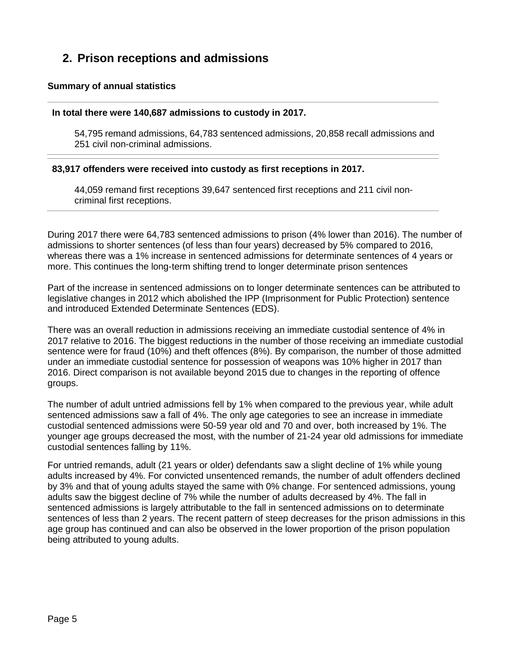# **2. Prison receptions and admissions**

#### **Summary of annual statistics**

#### **In total there were 140,687 admissions to custody in 2017.**

54,795 remand admissions, 64,783 sentenced admissions, 20,858 recall admissions and 251 civil non-criminal admissions.

#### **83,917 offenders were received into custody as first receptions in 2017.**

44,059 remand first receptions 39,647 sentenced first receptions and 211 civil noncriminal first receptions.

During 2017 there were 64,783 sentenced admissions to prison (4% lower than 2016). The number of admissions to shorter sentences (of less than four years) decreased by 5% compared to 2016, whereas there was a 1% increase in sentenced admissions for determinate sentences of 4 years or more. This continues the long-term shifting trend to longer determinate prison sentences

Part of the increase in sentenced admissions on to longer determinate sentences can be attributed to legislative changes in 2012 which abolished the IPP (Imprisonment for Public Protection) sentence and introduced Extended Determinate Sentences (EDS).

There was an overall reduction in admissions receiving an immediate custodial sentence of 4% in 2017 relative to 2016. The biggest reductions in the number of those receiving an immediate custodial sentence were for fraud (10%) and theft offences (8%). By comparison, the number of those admitted under an immediate custodial sentence for possession of weapons was 10% higher in 2017 than 2016. Direct comparison is not available beyond 2015 due to changes in the reporting of offence groups.

The number of adult untried admissions fell by 1% when compared to the previous year, while adult sentenced admissions saw a fall of 4%. The only age categories to see an increase in immediate custodial sentenced admissions were 50-59 year old and 70 and over, both increased by 1%. The younger age groups decreased the most, with the number of 21-24 year old admissions for immediate custodial sentences falling by 11%.

For untried remands, adult (21 years or older) defendants saw a slight decline of 1% while young adults increased by 4%. For convicted unsentenced remands, the number of adult offenders declined by 3% and that of young adults stayed the same with 0% change. For sentenced admissions, young adults saw the biggest decline of 7% while the number of adults decreased by 4%. The fall in sentenced admissions is largely attributable to the fall in sentenced admissions on to determinate sentences of less than 2 years. The recent pattern of steep decreases for the prison admissions in this age group has continued and can also be observed in the lower proportion of the prison population being attributed to young adults.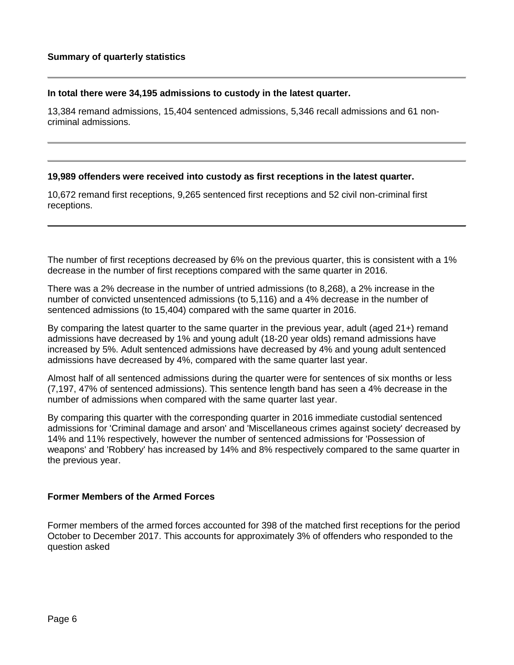#### **In total there were 34,195 admissions to custody in the latest quarter.**

13,384 remand admissions, 15,404 sentenced admissions, 5,346 recall admissions and 61 noncriminal admissions.

#### **19,989 offenders were received into custody as first receptions in the latest quarter.**

10,672 remand first receptions, 9,265 sentenced first receptions and 52 civil non-criminal first receptions.

The number of first receptions decreased by 6% on the previous quarter, this is consistent with a 1% decrease in the number of first receptions compared with the same quarter in 2016.

There was a 2% decrease in the number of untried admissions (to 8,268), a 2% increase in the number of convicted unsentenced admissions (to 5,116) and a 4% decrease in the number of sentenced admissions (to 15,404) compared with the same quarter in 2016.

By comparing the latest quarter to the same quarter in the previous year, adult (aged 21+) remand admissions have decreased by 1% and young adult (18-20 year olds) remand admissions have increased by 5%. Adult sentenced admissions have decreased by 4% and young adult sentenced admissions have decreased by 4%, compared with the same quarter last year.

Almost half of all sentenced admissions during the quarter were for sentences of six months or less (7,197, 47% of sentenced admissions). This sentence length band has seen a 4% decrease in the number of admissions when compared with the same quarter last year.

By comparing this quarter with the corresponding quarter in 2016 immediate custodial sentenced admissions for 'Criminal damage and arson' and 'Miscellaneous crimes against society' decreased by 14% and 11% respectively, however the number of sentenced admissions for 'Possession of weapons' and 'Robbery' has increased by 14% and 8% respectively compared to the same quarter in the previous year.

#### **Former Members of the Armed Forces**

Former members of the armed forces accounted for 398 of the matched first receptions for the period October to December 2017. This accounts for approximately 3% of offenders who responded to the question asked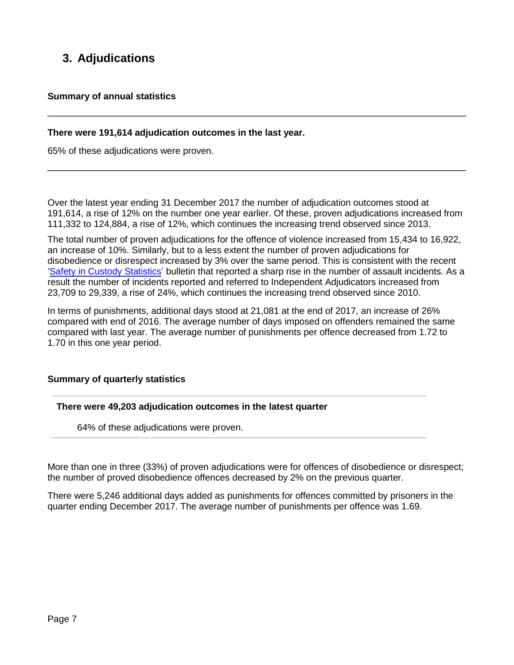# **3. Adjudications**

#### **Summary of annual statistics**

#### **There were 191,614 adjudication outcomes in the last year.**

65% of these adjudications were proven.

Over the latest year ending 31 December 2017 the number of adjudication outcomes stood at 191,614, a rise of 12% on the number one year earlier. Of these, proven adjudications increased from 111,332 to 124,884, a rise of 12%, which continues the increasing trend observed since 2013.

The total number of proven adjudications for the offence of violence increased from 15,434 to 16,922, an increase of 10%. Similarly, but to a less extent the number of proven adjudications for disobedience or disrespect increased by 3% over the same period. This is consistent with the recent 'Safety in Custody Statistics' bulletin that reported a sharp rise in the number of assault incidents. As a result the number of incidents reported and referred to Independent Adjudicators increased from 23,709 to 29,339, a rise of 24%, which continues the increasing trend observed since 2010.

In terms of punishments, additional days stood at 21,081 at the end of 2017, an increase of 26% compared with end of 2016. The average number of days imposed on offenders remained the same compared with last year. The average number of punishments per offence decreased from 1.72 to 1.70 in this one year period.

#### **Summary of quarterly statistics**

**There were 49,203 adjudication outcomes in the latest quarter**

64% of these adjudications were proven.

More than one in three (33%) of proven adjudications were for offences of disobedience or disrespect; the number of proved disobedience offences decreased by 2% on the previous quarter.

There were 5,246 additional days added as punishments for offences committed by prisoners in the quarter ending December 2017. The average number of punishments per offence was 1.69.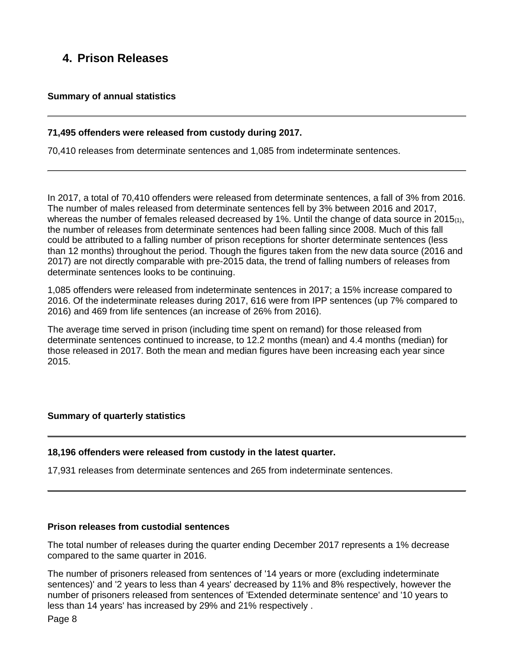# **4. Prison Releases**

#### **Summary of annual statistics**

#### **71,495 offenders were released from custody during 2017.**

70,410 releases from determinate sentences and 1,085 from indeterminate sentences.

In 2017, a total of 70,410 offenders were released from determinate sentences, a fall of 3% from 2016. The number of males released from determinate sentences fell by 3% between 2016 and 2017, whereas the number of females released decreased by 1%. Until the change of data source in 2015 $(1)$ , the number of releases from determinate sentences had been falling since 2008. Much of this fall could be attributed to a falling number of prison receptions for shorter determinate sentences (less than 12 months) throughout the period. Though the figures taken from the new data source (2016 and 2017) are not directly comparable with pre-2015 data, the trend of falling numbers of releases from determinate sentences looks to be continuing.

1,085 offenders were released from indeterminate sentences in 2017; a 15% increase compared to 2016. Of the indeterminate releases during 2017, 616 were from IPP sentences (up 7% compared to 2016) and 469 from life sentences (an increase of 26% from 2016).

The average time served in prison (including time spent on remand) for those released from determinate sentences continued to increase, to 12.2 months (mean) and 4.4 months (median) for those released in 2017. Both the mean and median figures have been increasing each year since 2015.

#### **Summary of quarterly statistics**

#### **18,196 offenders were released from custody in the latest quarter.**

17,931 releases from determinate sentences and 265 from indeterminate sentences.

#### **Prison releases from custodial sentences**

The total number of releases during the quarter ending December 2017 represents a 1% decrease compared to the same quarter in 2016.

The number of prisoners released from sentences of '14 years or more (excluding indeterminate sentences)' and '2 years to less than 4 years' decreased by 11% and 8% respectively, however the number of prisoners released from sentences of 'Extended determinate sentence' and '10 years to less than 14 years' has increased by 29% and 21% respectively .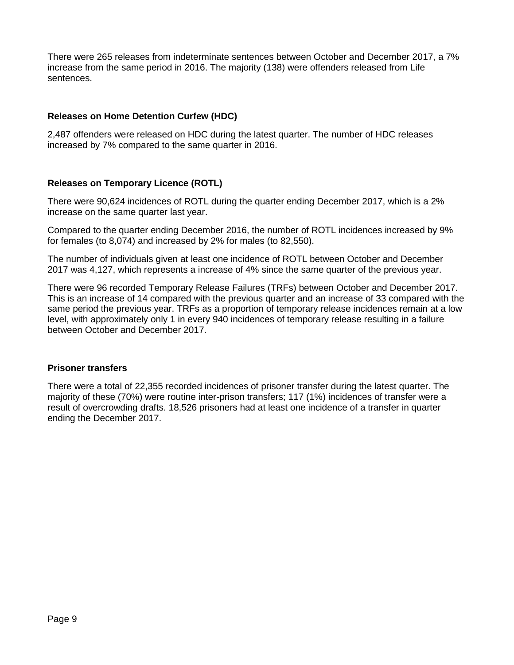There were 265 releases from indeterminate sentences between October and December 2017, a 7% increase from the same period in 2016. The majority (138) were offenders released from Life sentences.

#### **Releases on Home Detention Curfew (HDC)**

2,487 offenders were released on HDC during the latest quarter. The number of HDC releases increased by 7% compared to the same quarter in 2016.

#### **Releases on Temporary Licence (ROTL)**

There were 90,624 incidences of ROTL during the quarter ending December 2017, which is a 2% increase on the same quarter last year.

Compared to the quarter ending December 2016, the number of ROTL incidences increased by 9% for females (to 8,074) and increased by 2% for males (to 82,550).

The number of individuals given at least one incidence of ROTL between October and December 2017 was 4,127, which represents a increase of 4% since the same quarter of the previous year.

There were 96 recorded Temporary Release Failures (TRFs) between October and December 2017. This is an increase of 14 compared with the previous quarter and an increase of 33 compared with the same period the previous year. TRFs as a proportion of temporary release incidences remain at a low level, with approximately only 1 in every 940 incidences of temporary release resulting in a failure between October and December 2017.

#### **Prisoner transfers**

There were a total of 22,355 recorded incidences of prisoner transfer during the latest quarter. The majority of these (70%) were routine inter-prison transfers; 117 (1%) incidences of transfer were a result of overcrowding drafts. 18,526 prisoners had at least one incidence of a transfer in quarter ending the December 2017.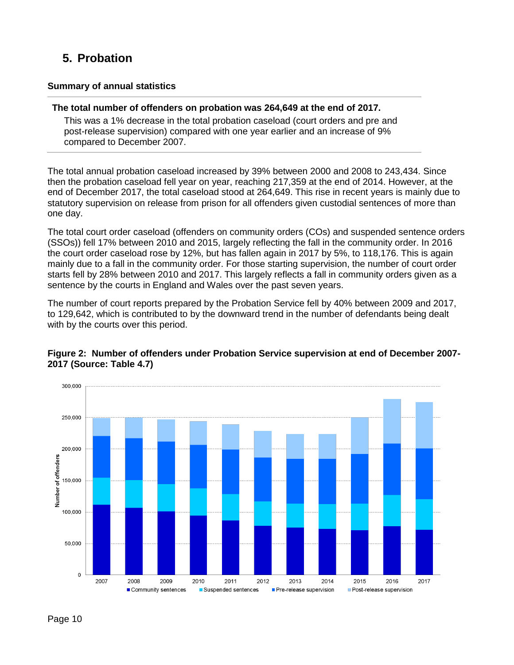# **5. Probation**

#### **Summary of annual statistics**

#### **The total number of offenders on probation was 264,649 at the end of 2017.**

This was a 1% decrease in the total probation caseload (court orders and pre and post-release supervision) compared with one year earlier and an increase of 9% compared to December 2007.

The total annual probation caseload increased by 39% between 2000 and 2008 to 243,434. Since then the probation caseload fell year on year, reaching 217,359 at the end of 2014. However, at the end of December 2017, the total caseload stood at 264,649. This rise in recent years is mainly due to statutory supervision on release from prison for all offenders given custodial sentences of more than one day.

The total court order caseload (offenders on community orders (COs) and suspended sentence orders (SSOs)) fell 17% between 2010 and 2015, largely reflecting the fall in the community order. In 2016 the court order caseload rose by 12%, but has fallen again in 2017 by 5%, to 118,176. This is again mainly due to a fall in the community order. For those starting supervision, the number of court order starts fell by 28% between 2010 and 2017. This largely reflects a fall in community orders given as a sentence by the courts in England and Wales over the past seven years.

The number of court reports prepared by the Probation Service fell by 40% between 2009 and 2017, to 129,642, which is contributed to by the downward trend in the number of defendants being dealt with by the courts over this period.



#### **Figure 2: Number of offenders under Probation Service supervision at end of December 2007- 2017 (Source: Table 4.7)**

Page 10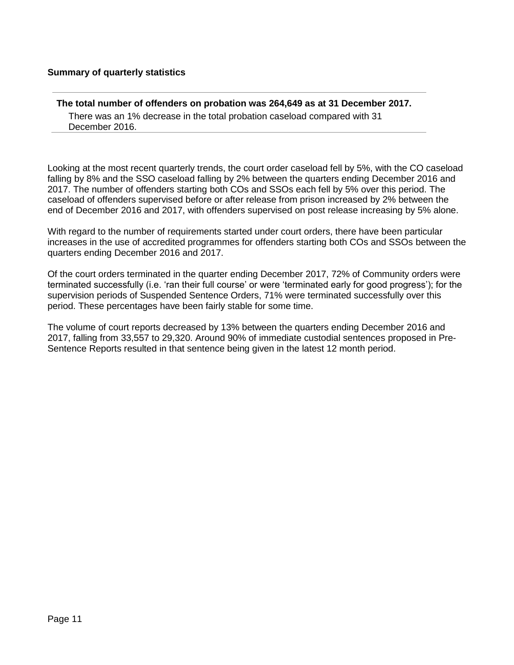#### **Summary of quarterly statistics**

#### **The total number of offenders on probation was 264,649 as at 31 December 2017.**

There was an 1% decrease in the total probation caseload compared with 31 December 2016.

Looking at the most recent quarterly trends, the court order caseload fell by 5%, with the CO caseload falling by 8% and the SSO caseload falling by 2% between the quarters ending December 2016 and 2017. The number of offenders starting both COs and SSOs each fell by 5% over this period. The caseload of offenders supervised before or after release from prison increased by 2% between the end of December 2016 and 2017, with offenders supervised on post release increasing by 5% alone.

With regard to the number of requirements started under court orders, there have been particular increases in the use of accredited programmes for offenders starting both COs and SSOs between the quarters ending December 2016 and 2017.

Of the court orders terminated in the quarter ending December 2017, 72% of Community orders were terminated successfully (i.e. 'ran their full course' or were 'terminated early for good progress'); for the supervision periods of Suspended Sentence Orders, 71% were terminated successfully over this period. These percentages have been fairly stable for some time.

The volume of court reports decreased by 13% between the quarters ending December 2016 and 2017, falling from 33,557 to 29,320. Around 90% of immediate custodial sentences proposed in Pre-Sentence Reports resulted in that sentence being given in the latest 12 month period.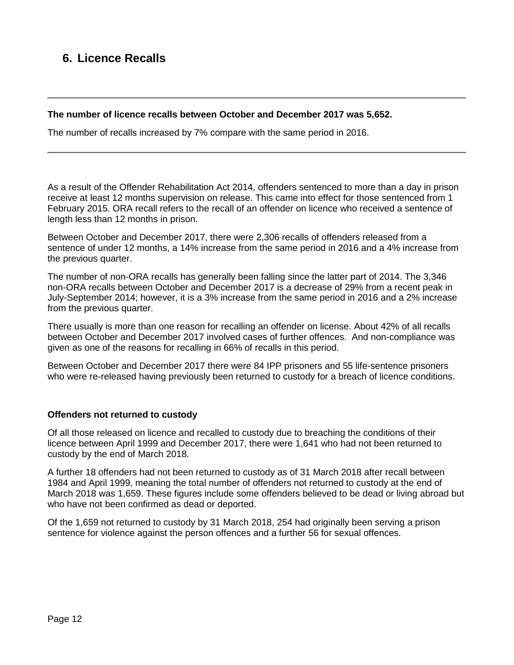## **6. Licence Recalls**

#### **The number of licence recalls between October and December 2017 was 5,652.**

The number of recalls increased by 7% compare with the same period in 2016.

As a result of the Offender Rehabilitation Act 2014, offenders sentenced to more than a day in prison receive at least 12 months supervision on release. This came into effect for those sentenced from 1 February 2015. ORA recall refers to the recall of an offender on licence who received a sentence of length less than 12 months in prison.

Between October and December 2017, there were 2,306 recalls of offenders released from a sentence of under 12 months, a 14% increase from the same period in 2016 and a 4% increase from the previous quarter.

The number of non-ORA recalls has generally been falling since the latter part of 2014. The 3,346 non-ORA recalls between October and December 2017 is a decrease of 29% from a recent peak in July-September 2014; however, it is a 3% increase from the same period in 2016 and a 2% increase from the previous quarter.

There usually is more than one reason for recalling an offender on license. About 42% of all recalls between October and December 2017 involved cases of further offences. And non-compliance was given as one of the reasons for recalling in 66% of recalls in this period.

Between October and December 2017 there were 84 IPP prisoners and 55 life-sentence prisoners who were re-released having previously been returned to custody for a breach of licence conditions.

#### **Offenders not returned to custody**

Of all those released on licence and recalled to custody due to breaching the conditions of their licence between April 1999 and December 2017, there were 1,641 who had not been returned to custody by the end of March 2018.

A further 18 offenders had not been returned to custody as of 31 March 2018 after recall between 1984 and April 1999, meaning the total number of offenders not returned to custody at the end of March 2018 was 1,659. These figures include some offenders believed to be dead or living abroad but who have not been confirmed as dead or deported.

Of the 1,659 not returned to custody by 31 March 2018, 254 had originally been serving a prison sentence for violence against the person offences and a further 56 for sexual offences.